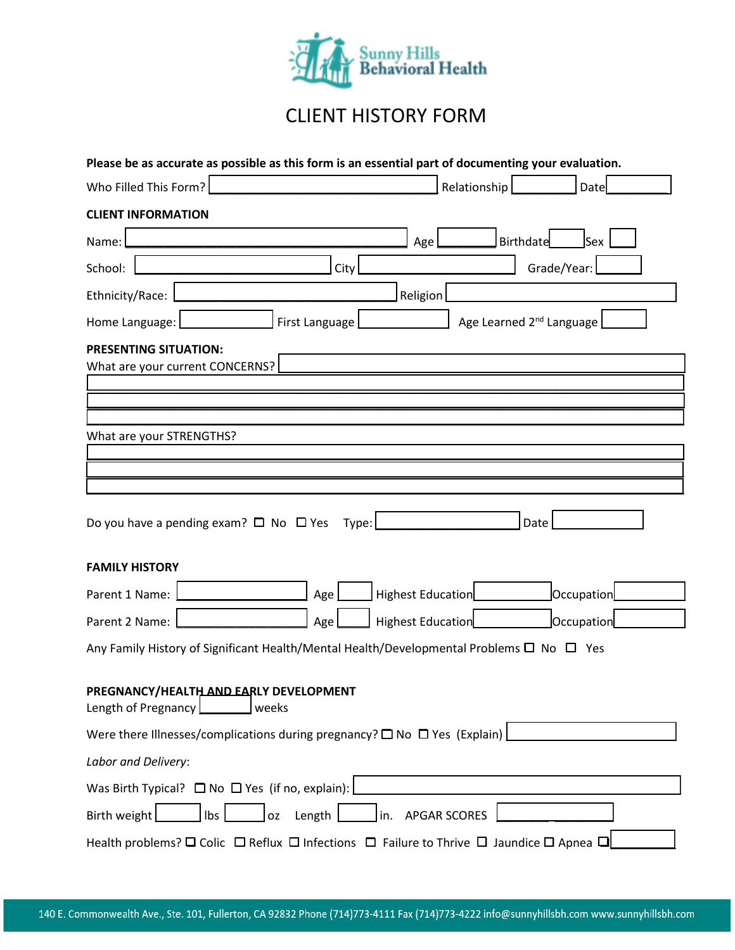

## CLIENT HISTORY FORM

| Please be as accurate as possible as this form is an essential part of documenting your evaluation.                                             |                                       |
|-------------------------------------------------------------------------------------------------------------------------------------------------|---------------------------------------|
| Who Filled This Form?                                                                                                                           | Relationship<br>Date                  |
| <b>CLIENT INFORMATION</b>                                                                                                                       |                                       |
| Name:                                                                                                                                           | <b>Sex</b><br><b>Birthdate</b><br>Age |
| School:<br>City                                                                                                                                 | Grade/Year:                           |
| Ethnicity/Race:                                                                                                                                 | Religion                              |
| Home Language:<br>First Language                                                                                                                | Age Learned 2 <sup>nd</sup> Language  |
| <b>PRESENTING SITUATION:</b><br>What are your current CONCERNS?                                                                                 |                                       |
| What are your STRENGTHS?                                                                                                                        |                                       |
| Do you have a pending exam? $\Box$ No $\Box$ Yes<br>Type:<br><b>FAMILY HISTORY</b>                                                              | Date                                  |
| Parent 1 Name:<br>Age                                                                                                                           | Highest Education<br>Occupation       |
| Parent 2 Name:<br>Age                                                                                                                           | Occupation<br>Highest Education       |
| Any Family History of Significant Health/Mental Health/Developmental Problems $\square$ No $\square$ Yes                                        |                                       |
| PREGNANCY/HEALTH AND EARLY DEVELOPMENT<br>Length of Pregnancy<br>weeks                                                                          |                                       |
| Were there Illnesses/complications during pregnancy? $\square$ No $\square$ Yes (Explain)                                                       |                                       |
| Labor and Delivery:                                                                                                                             |                                       |
| Was Birth Typical? $\Box$ No $\Box$ Yes (if no, explain):                                                                                       |                                       |
| Birth weight<br>Ibs<br>Length<br>0Z<br>in.                                                                                                      | <b>APGAR SCORES</b>                   |
| Health problems? $\square$ Colic $\square$ Reflux $\square$ Infections $\square$ Failure to Thrive $\square$ Jaundice $\square$ Apnea $\square$ |                                       |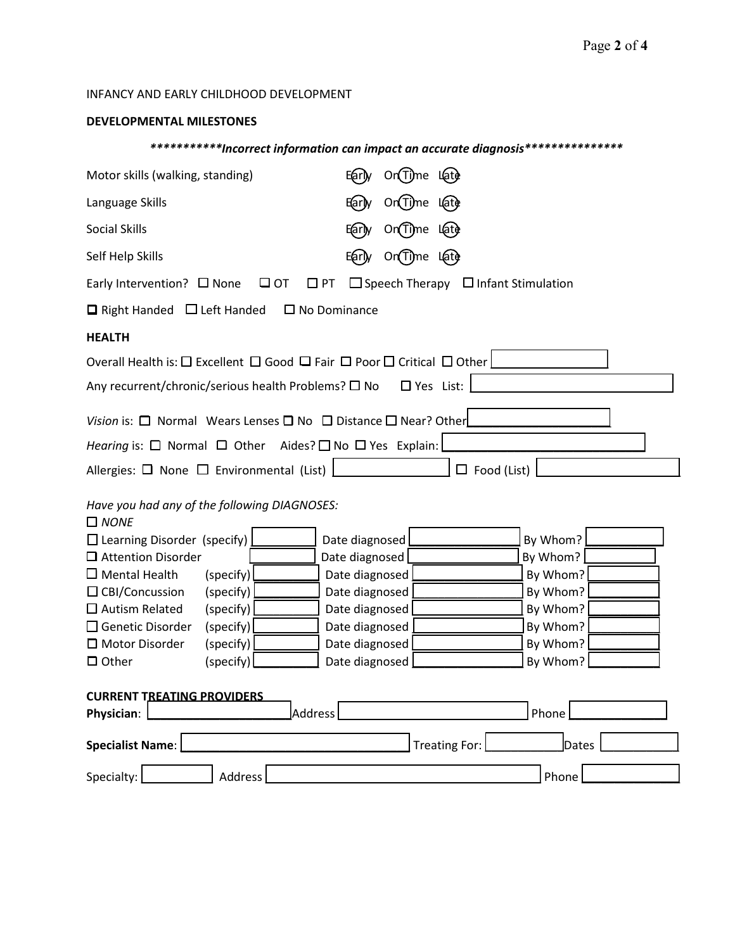## INFANCY AND EARLY CHILDHOOD DEVELOPMENT

## **DEVELOPMENTAL MILESTONES**

## *\*\*\*\*\*\*\*\*\*\*\*Incorrect information can impact an accurate diagnosis\*\*\*\*\*\*\*\*\*\*\*\*\*\*\**

| Motor skills (walking, standing)                                                                             | On Time Late<br>Early              |  |  |  |  |  |  |
|--------------------------------------------------------------------------------------------------------------|------------------------------------|--|--|--|--|--|--|
| Language Skills                                                                                              | On Time Late<br>E(ar) <sub>y</sub> |  |  |  |  |  |  |
| <b>Social Skills</b>                                                                                         | On Time Late<br>Early              |  |  |  |  |  |  |
| Self Help Skills                                                                                             | On Time Late<br>E(arl)y            |  |  |  |  |  |  |
| $\Box$ PT<br>$\Box$ Speech Therapy $\Box$ Infant Stimulation<br>Early Intervention? $\Box$ None<br>$\Box$ OT |                                    |  |  |  |  |  |  |
| $\Box$ Right Handed $\Box$ Left Handed                                                                       | $\square$ No Dominance             |  |  |  |  |  |  |
| <b>HEALTH</b>                                                                                                |                                    |  |  |  |  |  |  |
| Overall Health is: □ Excellent □ Good □ Fair □ Poor □ Critical □ Other                                       |                                    |  |  |  |  |  |  |
| $\Box$ Yes List:<br>Any recurrent/chronic/serious health Problems? □ No                                      |                                    |  |  |  |  |  |  |
|                                                                                                              |                                    |  |  |  |  |  |  |
| Vision is: $\Box$ Normal Wears Lenses $\Box$ No $\Box$ Distance $\Box$ Near? Other                           |                                    |  |  |  |  |  |  |
| Hearing is: $\Box$ Normal $\Box$ Other Aides? $\Box$ No $\Box$ Yes Explain:                                  |                                    |  |  |  |  |  |  |
| Allergies: $\Box$ None $\Box$ Environmental (List)<br>$\Box$ Food (List)                                     |                                    |  |  |  |  |  |  |
| Have you had any of the following DIAGNOSES:<br>$\Box$ NONE                                                  |                                    |  |  |  |  |  |  |
| $\Box$ Learning Disorder (specify)                                                                           | By Whom?<br>Date diagnosed         |  |  |  |  |  |  |
| $\Box$ Attention Disorder                                                                                    | By Whom?<br>Date diagnosed         |  |  |  |  |  |  |
| $\Box$ Mental Health<br>(specify)                                                                            | By Whom?<br>Date diagnosed         |  |  |  |  |  |  |
| $\Box$ CBI/Concussion<br>(specify)                                                                           | Date diagnosed<br>By Whom?         |  |  |  |  |  |  |
| $\Box$ Autism Related<br>(specify)                                                                           | By Whom?<br>Date diagnosed         |  |  |  |  |  |  |
| □ Genetic Disorder<br>(specify)                                                                              | By Whom?<br>Date diagnosed         |  |  |  |  |  |  |
| □ Motor Disorder<br>(specify)                                                                                | Date diagnosed<br>By Whom?         |  |  |  |  |  |  |
| (specify)<br>$\Box$ Other                                                                                    | By Whom?<br>Date diagnosed         |  |  |  |  |  |  |
| <b>CURRENT TREATING PROVIDERS</b><br>Phone<br>Address<br>Physician:                                          |                                    |  |  |  |  |  |  |
| <b>Specialist Name:</b>                                                                                      | Treating For:<br>Dates             |  |  |  |  |  |  |
| Address<br>Specialty:                                                                                        | Phone                              |  |  |  |  |  |  |
|                                                                                                              |                                    |  |  |  |  |  |  |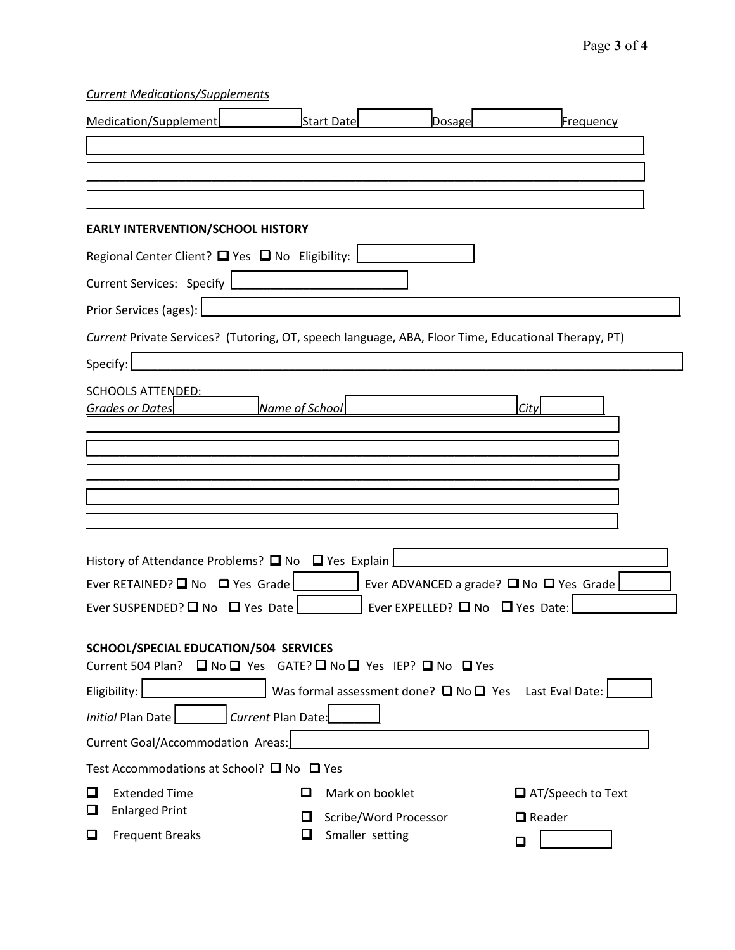*Current Medications/Supplements*

|                                                                                                     | Medication/Supplement                                                                                  |        | <b>Start Date</b>                        | Dosage | Frequency                |  |  |
|-----------------------------------------------------------------------------------------------------|--------------------------------------------------------------------------------------------------------|--------|------------------------------------------|--------|--------------------------|--|--|
|                                                                                                     |                                                                                                        |        |                                          |        |                          |  |  |
|                                                                                                     |                                                                                                        |        |                                          |        |                          |  |  |
|                                                                                                     | <b>EARLY INTERVENTION/SCHOOL HISTORY</b>                                                               |        |                                          |        |                          |  |  |
|                                                                                                     | Regional Center Client? $\Box$ Yes $\Box$ No Eligibility:                                              |        |                                          |        |                          |  |  |
|                                                                                                     | Current Services: Specify                                                                              |        |                                          |        |                          |  |  |
|                                                                                                     | Prior Services (ages):                                                                                 |        |                                          |        |                          |  |  |
| Current Private Services? (Tutoring, OT, speech language, ABA, Floor Time, Educational Therapy, PT) |                                                                                                        |        |                                          |        |                          |  |  |
| Specify:                                                                                            |                                                                                                        |        |                                          |        |                          |  |  |
|                                                                                                     | <b>SCHOOLS ATTENDED:</b><br>Name of School<br>Grades or Dates                                          |        |                                          |        | City                     |  |  |
|                                                                                                     |                                                                                                        |        |                                          |        |                          |  |  |
|                                                                                                     |                                                                                                        |        |                                          |        |                          |  |  |
|                                                                                                     |                                                                                                        |        |                                          |        |                          |  |  |
|                                                                                                     |                                                                                                        |        |                                          |        |                          |  |  |
|                                                                                                     | History of Attendance Problems? $\Box$ No $\Box$ Yes Explain                                           |        |                                          |        |                          |  |  |
| Ever RETAINED? ■ No ■ Yes Grade<br>Ever ADVANCED a grade? $\square$ No $\square$ Yes Grade          |                                                                                                        |        |                                          |        |                          |  |  |
| Ever EXPELLED? $\Box$ No $\Box$ Yes Date:<br>Ever SUSPENDED? $\Box$ No $\Box$ Yes Date              |                                                                                                        |        |                                          |        |                          |  |  |
|                                                                                                     | SCHOOL/SPECIAL EDUCATION/504 SERVICES<br>Current 504 Plan? □ No □ Yes GATE? □ No □ Yes IEP? □ No □ Yes |        |                                          |        |                          |  |  |
| Was formal assessment done? $\square$ No $\square$ Yes Last Eval Date:<br>Eligibility:              |                                                                                                        |        |                                          |        |                          |  |  |
|                                                                                                     | Current Plan Date:<br><b>Initial Plan Date</b>                                                         |        |                                          |        |                          |  |  |
| Current Goal/Accommodation Areas:                                                                   |                                                                                                        |        |                                          |        |                          |  |  |
| Test Accommodations at School? □ No □ Yes                                                           |                                                                                                        |        |                                          |        |                          |  |  |
| □<br>❏                                                                                              | <b>Extended Time</b><br><b>Enlarged Print</b>                                                          | ப      | Mark on booklet                          |        | $\Box$ AT/Speech to Text |  |  |
| $\Box$                                                                                              | <b>Frequent Breaks</b>                                                                                 | ப<br>□ | Scribe/Word Processor<br>Smaller setting |        | $\Box$ Reader<br>◻       |  |  |